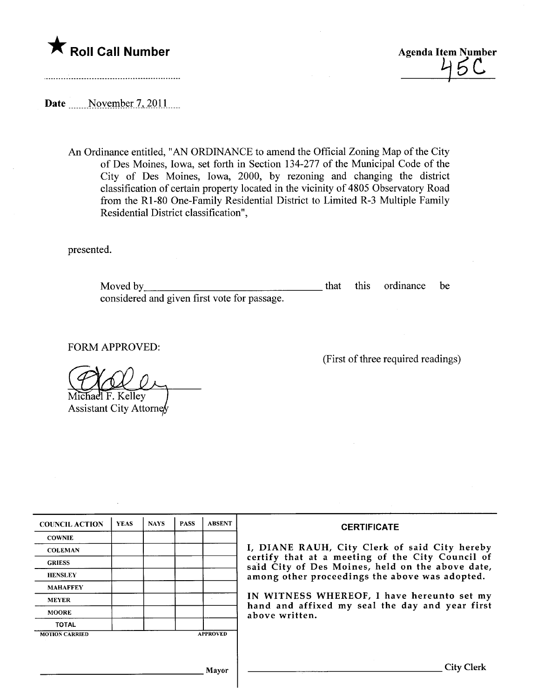



Date \_\_\_\_\_November 7, 2011

An Ordinance entitled, "AN ORDINANCE to amend the Official Zoning Map of the City of Des Moines, Iowa, set forth in Section 134-277 of the Municipal Code of the City of Des Moines, Iowa, 2000, by rezoning and changing the district classification of certain property located in the vicinity of 4805 Observatory Road from the RI-80 One-Family Residential District to Limited R-3 Multiple Family Residential District classification",

presented.

Moved by considered and given first vote for passage. that this ordinance be

FORM APPROVED:

Michael F. Kelley

Assistant City Attorney

(First of three required readings)

| <b>COUNCIL ACTION</b> | <b>YEAS</b> | <b>NAYS</b> | <b>PASS</b> | <b>ABSENT</b>   | <b>CERTIFICATE</b>                                                                                                                                                                                                                                                                                                         |
|-----------------------|-------------|-------------|-------------|-----------------|----------------------------------------------------------------------------------------------------------------------------------------------------------------------------------------------------------------------------------------------------------------------------------------------------------------------------|
| <b>COWNIE</b>         |             |             |             |                 |                                                                                                                                                                                                                                                                                                                            |
| <b>COLEMAN</b>        |             |             |             |                 | I, DIANE RAUH, City Clerk of said City hereby<br>certify that at a meeting of the City Council of<br>said City of Des Moines, held on the above date,<br>among other proceedings the above was adopted.<br>IN WITNESS WHEREOF, I have hereunto set my<br>hand and affixed my seal the day and year first<br>above written. |
| <b>GRIESS</b>         |             |             |             |                 |                                                                                                                                                                                                                                                                                                                            |
| <b>HENSLEY</b>        |             |             |             |                 |                                                                                                                                                                                                                                                                                                                            |
| <b>MAHAFFEY</b>       |             |             |             |                 |                                                                                                                                                                                                                                                                                                                            |
| <b>MEYER</b>          |             |             |             |                 |                                                                                                                                                                                                                                                                                                                            |
| <b>MOORE</b>          |             |             |             |                 |                                                                                                                                                                                                                                                                                                                            |
| <b>TOTAL</b>          |             |             |             |                 |                                                                                                                                                                                                                                                                                                                            |
| <b>MOTION CARRIED</b> |             |             |             | <b>APPROVED</b> |                                                                                                                                                                                                                                                                                                                            |
|                       |             |             |             |                 |                                                                                                                                                                                                                                                                                                                            |
|                       |             |             |             |                 |                                                                                                                                                                                                                                                                                                                            |
| Mayor                 |             |             |             |                 | <b>City Clerk</b>                                                                                                                                                                                                                                                                                                          |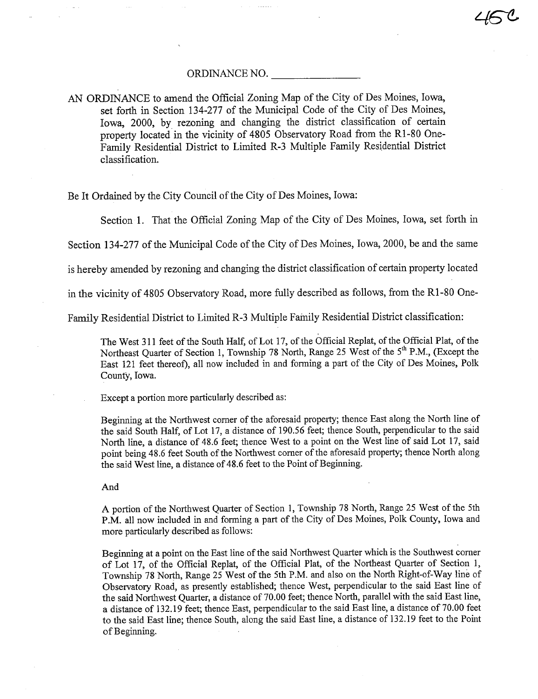## ORDINANCE NO.

AN ORDINANCE to amend the Official Zoning Map of the City of Des Moines, Iowa, set forth in Section 134-277 of the Muncipal Code of the City of Des Moines, Iowa, 2000, by rezoning and changing the district classification of certain property located in the vicinity of 4805 Observatory Road from the R1-80 One-Family Residential District to Limited R-3 Multiple Family Residential District classification.

Be It Ordained by the City Council of the City of Des Moines, Iowa:

Section 1. That the Official Zoning Map of the City of Des Moines, Iowa, set forth in

Section 134-277 of the Municipal Code of the City of Des Moines, Iowa, 2000, be and the same

is hereby amended by rezoning and changing the district classification of certain property located

in the vicinty of 4805 Observatory Road, more fully described as follows, from the RI-80 One-

Family Residential District to Limited R-3 Multiple Family Residential District classification:

The West 311 feet of the South Half, of Lot 17, of the Official Replat, of the Official Plat, of the Northeast Quarter of Section 1, Township 78 North, Range 25 West of the 5<sup>th</sup> P.M., (Except the East 121 feet thereof), all now included in and fonning a part of the City of Des Moines, Polk CountY, Iowa.

Except a portion more paricularly described as:

Beginning at the Northwest corner of the aforesaid property; thence East along the North line of the said South Half, of Lot 17, a distance of 190.56 feet; thence South, perpendicular to the said North line, a distance of 48.6 feet; thence West to a point on the West line of said Lot 17, said point being 48.6 feet South of the Northwest corner of the aforesaid property; thence North along the said West line, a distance of 48.6 feet to the Point of Beginning.

And

A portion of the Northwest Quarer of Section 1, Township 78 North, Range 25 West of the 5th P.M. all now included in and forming a part of the City of Des Moines, Polk County, Iowa and more paricularly described as follows:

Beginning at a point on the East line of the said Northwest Quarer which is the Southwest corner of Lot 17, of the Official Replat, of the Official Plat, of the Northeast Quarter of Section 1, Township 78 North, Range 25 West of the 5th P.M. and also on the North Right-of-Way line of Observatory Road, as presently established; thence West, perpendicular to the said East line of the said Northwest Quarter, a distance of 70.00 feet; thence North, parallel with the said East line, a distance of 132.19 feet; thence East, perpendicular to the said East line, a distance of 70.00 feet to the said East line; thence South, along the said East line, a distance of 132.19 feet to the Point of Beginning.